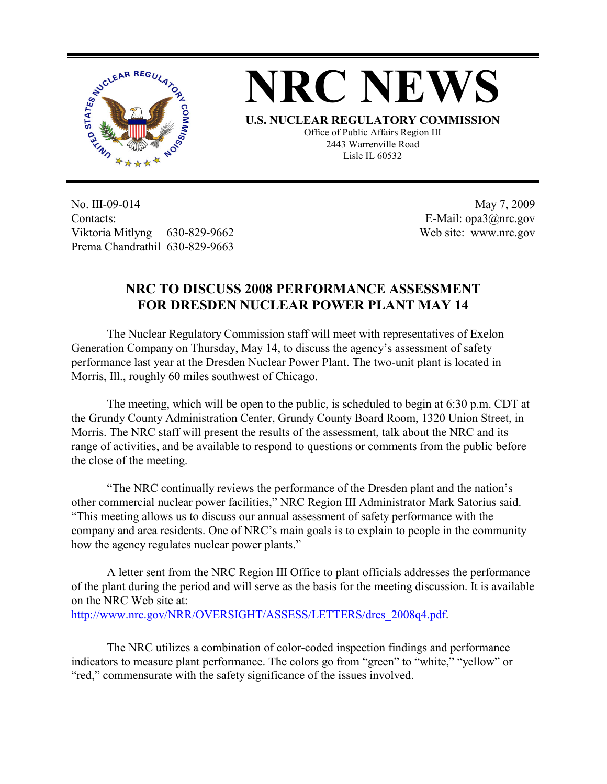



**U.S. NUCLEAR REGULATORY COMMISSION** Office of Public Affairs Region III 2443 Warrenville Road Lisle IL 60532

No. III-09-014 Contacts: Viktoria Mitlyng 630-829-9662 Prema Chandrathil 630-829-9663

 May 7, 2009 E-Mail: opa3@nrc.gov Web site: www.nrc.gov

## **NRC TO DISCUSS 2008 PERFORMANCE ASSESSMENT FOR DRESDEN NUCLEAR POWER PLANT MAY 14**

 The Nuclear Regulatory Commission staff will meet with representatives of Exelon Generation Company on Thursday, May 14, to discuss the agency's assessment of safety performance last year at the Dresden Nuclear Power Plant. The two-unit plant is located in Morris, Ill., roughly 60 miles southwest of Chicago.

 The meeting, which will be open to the public, is scheduled to begin at 6:30 p.m. CDT at the Grundy County Administration Center, Grundy County Board Room, 1320 Union Street, in Morris. The NRC staff will present the results of the assessment, talk about the NRC and its range of activities, and be available to respond to questions or comments from the public before the close of the meeting.

 "The NRC continually reviews the performance of the Dresden plant and the nation's other commercial nuclear power facilities," NRC Region III Administrator Mark Satorius said. "This meeting allows us to discuss our annual assessment of safety performance with the company and area residents. One of NRC's main goals is to explain to people in the community how the agency regulates nuclear power plants."

 A letter sent from the NRC Region III Office to plant officials addresses the performance of the plant during the period and will serve as the basis for the meeting discussion. It is available on the NRC Web site at:

http://www.nrc.gov/NRR/OVERSIGHT/ASSESS/LETTERS/dres\_2008q4.pdf.

The NRC utilizes a combination of color-coded inspection findings and performance indicators to measure plant performance. The colors go from "green" to "white," "yellow" or "red," commensurate with the safety significance of the issues involved.